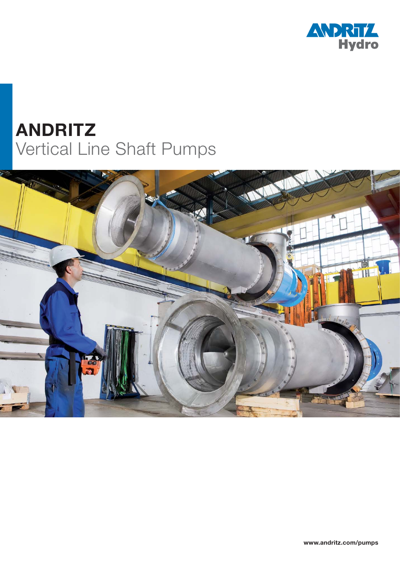

# **ANDRITZ** Vertical Line Shaft Pumps

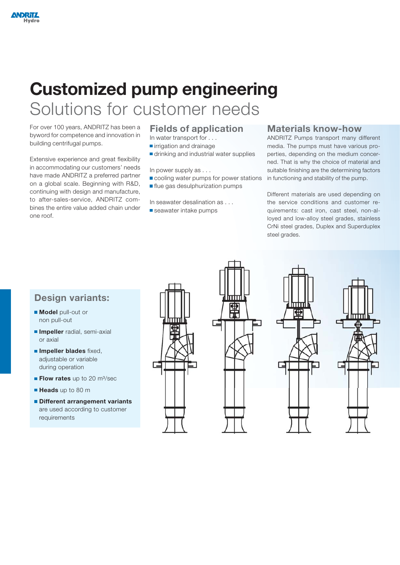# **Customized pump engineering** Solutions for customer needs

For over 100 years, ANDRITZ has been a byword for competence and innovation in building centrifugal pumps.

Extensive experience and great flexibility in accommodating our customers' needs have made ANDRITZ a preferred partner on a global scale. Beginning with R&D, continuing with design and manufacture, to after-sales-service, ANDRITZ combines the entire value added chain under one roof.

#### **Fields of application**

- In water transport for . . .
- $r$ irrigation and drainage
- drinking and industrial water supplies

In power supply as . . .

- cooling water pumps for power stations
- **flue gas desulphurization pumps**

In seawater desalination as . . .

■ seawater intake pumps

#### **Materials know-how**

ANDRITZ Pumps transport many different media. The pumps must have various properties, depending on the medium concerned. That is why the choice of material and suitable finishing are the determining factors in functioning and stability of the pump.

Different materials are used depending on the service conditions and customer requirements: cast iron, cast steel, non-alloyed and low-alloy steel grades, stainless CrNi steel grades, Duplex and Superduplex steel grades.

### **Design variants:**

- **Model** pull-out or non pull-out
- **Impeller** radial, semi-axial or axial
- **Impeller blades** fixed, adjustable or variable during operation
- **Flow rates** up to 20 m<sup>3</sup>/sec
- **Heads** up to 80 m
- **Different arrangement variants** are used according to customer requirements







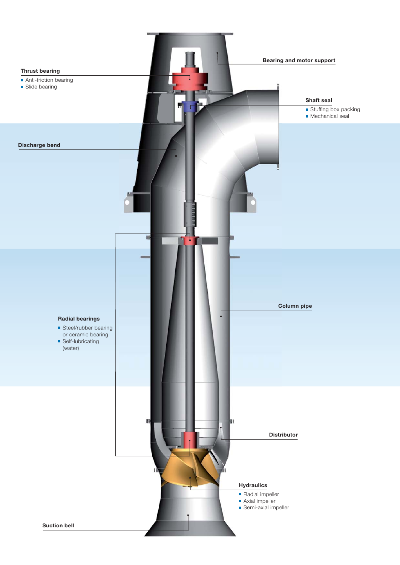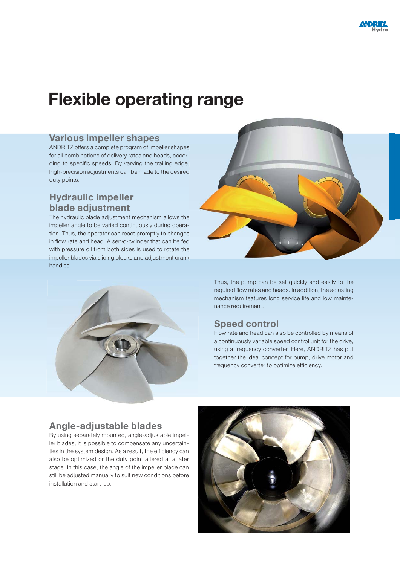## **Flexible operating range**

#### **Various impeller shapes**

ANDRITZ offers a complete program of impeller shapes for all combinations of delivery rates and heads, according to specific speeds. By varying the trailing edge, high-precision adjustments can be made to the desired duty points.

### **Hydraulic impeller blade adjustment**

The hydraulic blade adjustment mechanism allows the impeller angle to be varied continuously during operation. Thus, the operator can react promptly to changes in flow rate and head. A servo-cylinder that can be fed with pressure oil from both sides is used to rotate the impeller blades via sliding blocks and adjustment crank handles.





Thus, the pump can be set quickly and easily to the required flow rates and heads. In addition, the adjusting mechanism features long service life and low maintenance requirement.

### **Speed control**

Flow rate and head can also be controlled by means of a continuously variable speed control unit for the drive, using a frequency converter. Here, ANDRITZ has put together the ideal concept for pump, drive motor and frequency converter to optimize efficiency.

#### **Angle-adjustable blades**

By using separately mounted, angle-adjustable impeller blades, it is possible to compensate any uncertainties in the system design. As a result, the efficiency can also be optimized or the duty point altered at a later stage. In this case, the angle of the impeller blade can still be adjusted manually to suit new conditions before installation and start-up.

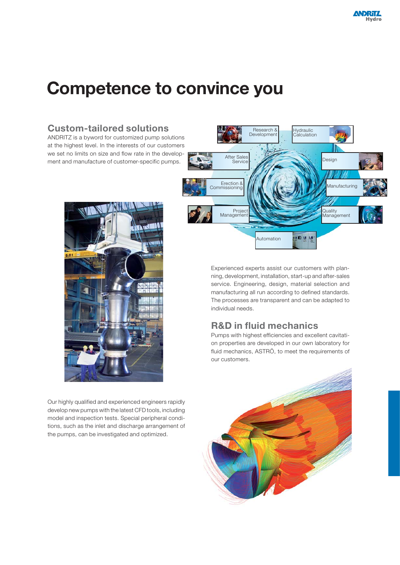# **Competence to convince you**

#### Research & Hydraulic Development y araano<br>alculation ANDRITZ is a byword for customized pump solutions at the highest level. In the interests of our customers we set no limits on size and flow rate in the develop After Sales Design ment and manufacture of customer-specific pumps. Service Erection & Manufacturing **Commissioning** Project Quality Management Management Automatione a



**Custom-tailored solutions**

Our highly qualified and experienced engineers rapidly develop new pumps with the latest CFD tools, including model and inspection tests. Special peripheral conditions, such as the inlet and discharge arrangement of the pumps, can be investigated and optimized.

Experienced experts assist our customers with planning, development, installation, start-up and after-sales service. Engineering, design, material selection and manufacturing all run according to defined standards. The processes are transparent and can be adapted to individual needs.

### **R&D in fluid mechanics**

Pumps with highest efficiencies and excellent cavitation properties are developed in our own laboratory for fluid mechanics, ASTRÖ, to meet the requirements of our customers.